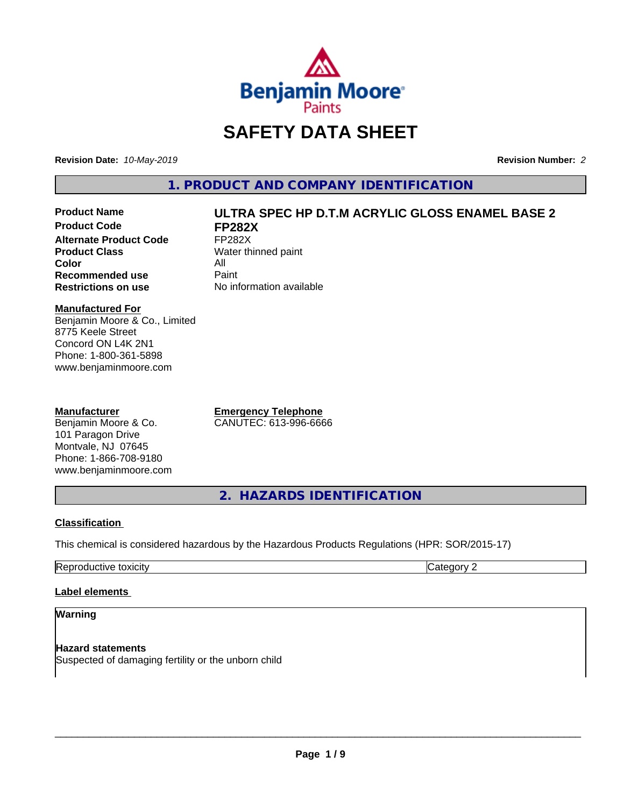

# **SAFETY DATA SHEET**

**Revision Date:** *10-May-2019* **Revision Number:** *2*

**1. PRODUCT AND COMPANY IDENTIFICATION**

**Product Code FP282X Alternate Product Code** FP282X<br> **Product Class** Water th **Color** All<br> **Recommended use** Paint **Recommended use**<br>Restrictions on use

# **Product Name ULTRA SPEC HP D.T.M ACRYLIC GLOSS ENAMEL BASE 2**

**Water thinned paint No information available** 

#### **Manufactured For**

Benjamin Moore & Co., Limited 8775 Keele Street Concord ON L4K 2N1 Phone: 1-800-361-5898 www.benjaminmoore.com

#### **Manufacturer**

Benjamin Moore & Co. 101 Paragon Drive Montvale, NJ 07645 Phone: 1-866-708-9180 www.benjaminmoore.com **Emergency Telephone** CANUTEC: 613-996-6666

**2. HAZARDS IDENTIFICATION**

# **Classification**

This chemical is considered hazardous by the Hazardous Products Regulations (HPR: SOR/2015-17)

| . .<br>™ ⊢ |  |
|------------|--|
|            |  |

# **Label elements**

#### **Warning**

**Hazard statements** Suspected of damaging fertility or the unborn child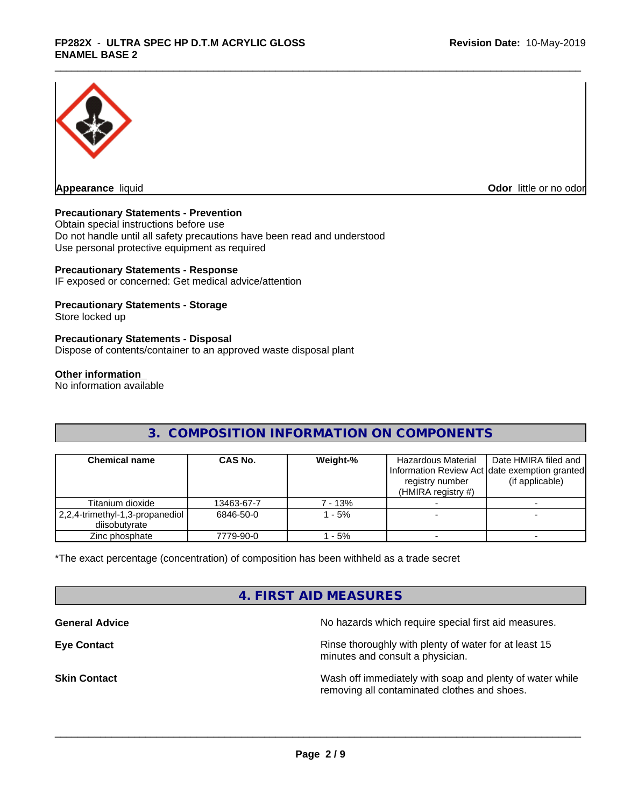

**Appearance** liquid

**Odor** little or no odor

### **Precautionary Statements - Prevention**

Obtain special instructions before use Do not handle until all safety precautions have been read and understood Use personal protective equipment as required

#### **Precautionary Statements - Response**

IF exposed or concerned: Get medical advice/attention

#### **Precautionary Statements - Storage**

Store locked up

#### **Precautionary Statements - Disposal**

Dispose of contents/container to an approved waste disposal plant

#### **Other information**

No information available

# **3. COMPOSITION INFORMATION ON COMPONENTS**

| <b>Chemical name</b>                               | <b>CAS No.</b> | Weight-% | Hazardous Material<br>registry number<br>(HMIRA registry $#$ ) | Date HMIRA filed and<br>Information Review Act Idate exemption granted<br>(if applicable) |
|----------------------------------------------------|----------------|----------|----------------------------------------------------------------|-------------------------------------------------------------------------------------------|
| Titanium dioxide                                   | 13463-67-7     | 7 - 13%  |                                                                |                                                                                           |
| 2,2,4-trimethyl-1,3-propanediol  <br>diisobutvrate | 6846-50-0      | $-5%$    |                                                                |                                                                                           |
| Zinc phosphate                                     | 7779-90-0      | $-5%$    |                                                                |                                                                                           |

\*The exact percentage (concentration) of composition has been withheld as a trade secret

# **4. FIRST AID MEASURES**

**General Advice General Advice No hazards which require special first aid measures.** 

**Eye Contact Exercise 20 All 20 All 20 All 20 All 20 All 20 All 20 All 20 All 20 All 20 All 20 All 20 All 20 All 20 All 20 All 20 All 20 All 20 All 20 All 20 All 20 All 20 All 20 All 20 All 20 All 20 All 20 All 20 All 20** minutes and consult a physician.

**Skin Contact** Mash of immediately with soap and plenty of water while removing all contaminated clothes and shoes.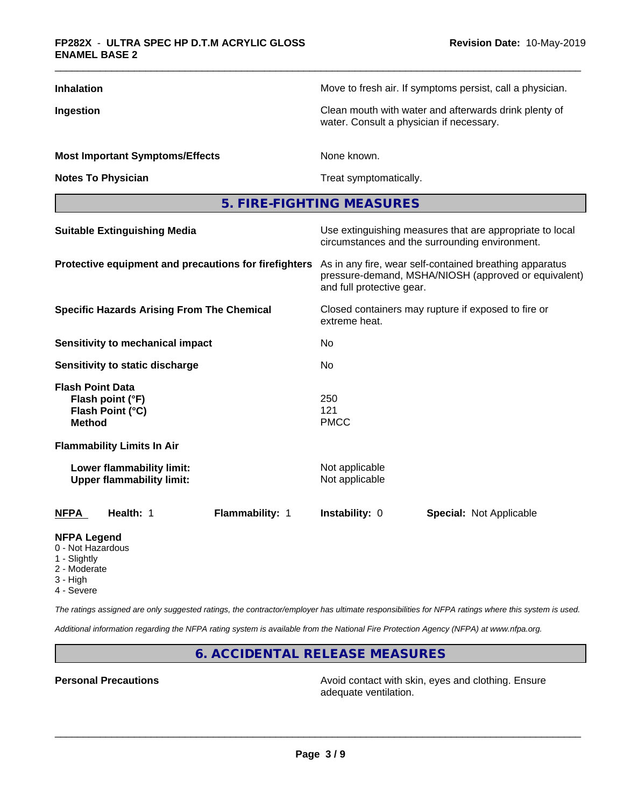| <b>Inhalation</b>                                                                | Move to fresh air. If symptoms persist, call a physician.                                                                                    |  |  |  |
|----------------------------------------------------------------------------------|----------------------------------------------------------------------------------------------------------------------------------------------|--|--|--|
| Ingestion                                                                        | Clean mouth with water and afterwards drink plenty of<br>water. Consult a physician if necessary.                                            |  |  |  |
| <b>Most Important Symptoms/Effects</b>                                           | None known.                                                                                                                                  |  |  |  |
| <b>Notes To Physician</b>                                                        | Treat symptomatically.                                                                                                                       |  |  |  |
|                                                                                  | 5. FIRE-FIGHTING MEASURES                                                                                                                    |  |  |  |
| <b>Suitable Extinguishing Media</b>                                              | Use extinguishing measures that are appropriate to local<br>circumstances and the surrounding environment.                                   |  |  |  |
| Protective equipment and precautions for firefighters                            | As in any fire, wear self-contained breathing apparatus<br>pressure-demand, MSHA/NIOSH (approved or equivalent)<br>and full protective gear. |  |  |  |
| <b>Specific Hazards Arising From The Chemical</b>                                | Closed containers may rupture if exposed to fire or<br>extreme heat.                                                                         |  |  |  |
| <b>Sensitivity to mechanical impact</b>                                          | No.                                                                                                                                          |  |  |  |
| Sensitivity to static discharge                                                  | No                                                                                                                                           |  |  |  |
| <b>Flash Point Data</b><br>Flash point (°F)<br>Flash Point (°C)<br><b>Method</b> | 250<br>121<br><b>PMCC</b>                                                                                                                    |  |  |  |
| <b>Flammability Limits In Air</b>                                                |                                                                                                                                              |  |  |  |
| Lower flammability limit:<br><b>Upper flammability limit:</b>                    | Not applicable<br>Not applicable                                                                                                             |  |  |  |
| Health: 1<br>Flammability: 1<br><b>NFPA</b>                                      | Instability: 0<br><b>Special: Not Applicable</b>                                                                                             |  |  |  |
| <b>NFPA Legend</b><br>0 - Not Hazardous                                          |                                                                                                                                              |  |  |  |

- 1 Slightly
- 2 Moderate
- 3 High
- 
- 4 Severe

*The ratings assigned are only suggested ratings, the contractor/employer has ultimate responsibilities for NFPA ratings where this system is used.*

*Additional information regarding the NFPA rating system is available from the National Fire Protection Agency (NFPA) at www.nfpa.org.*

**6. ACCIDENTAL RELEASE MEASURES**

**Personal Precautions Precautions** Avoid contact with skin, eyes and clothing. Ensure adequate ventilation.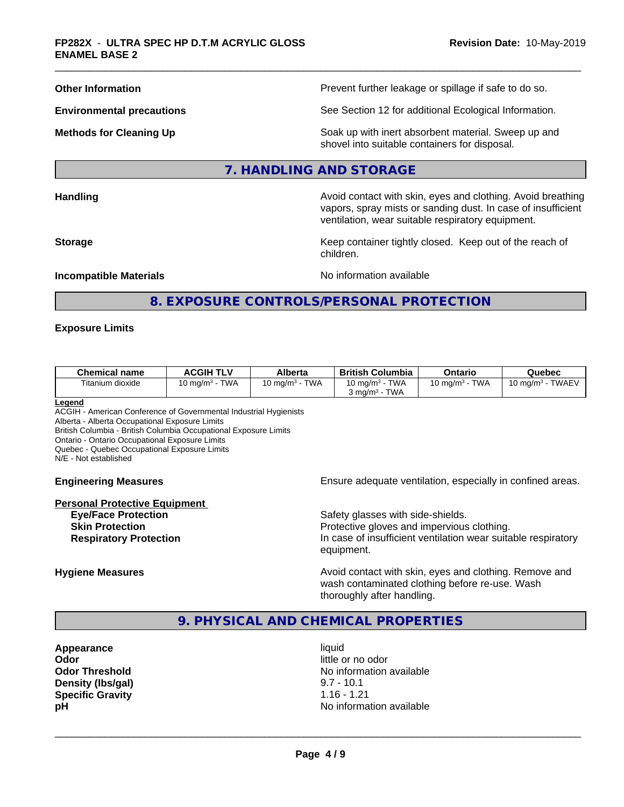**Other Information Department Information Department Intervent further leakage or spillage if safe to do so.** 

**Environmental precautions** See Section 12 for additional Ecological Information.

**Methods for Cleaning Up Example 20 All 20 All 20 All 20 Soak** up with inert absorbent material. Sweep up and shovel into suitable containers for disposal.

#### **7. HANDLING AND STORAGE**

**Handling Handling Avoid contact with skin, eyes and clothing. Avoid breathing Handling Avoid breathing Avoid breathing** 

ventilation, wear suitable respiratory equipment. **Storage Keep container tightly closed. Keep out of the reach of Keep** container tightly closed. Keep out of the reach of

vapors, spray mists or sanding dust. In case of insufficient

**Incompatible Materials Incompatible Materials No information available** 

# **8. EXPOSURE CONTROLS/PERSONAL PROTECTION**

children.

#### **Exposure Limits**

| <b>Chemical name</b> | <b>ACGIH TLV</b>           | Alberta                           | <b>British Columbia</b>                                       | Ontario                   | Quebec                     |
|----------------------|----------------------------|-----------------------------------|---------------------------------------------------------------|---------------------------|----------------------------|
| Titanium dioxide     | <b>TWA</b><br>10 ma/m $^3$ | <b>TWA</b><br>$10 \text{ ma/m}^3$ | TWA<br>10 mg/m <sup>3</sup> -<br>TWA<br>$3 \text{ rad/m}^3$ - | <b>TWA</b><br>10 mg/m $3$ | TWAEV<br>10 mg/m $3 \cdot$ |

**Legend**

ACGIH - American Conference of Governmental Industrial Hygienists Alberta - Alberta Occupational Exposure Limits

British Columbia - British Columbia Occupational Exposure Limits

Ontario - Ontario Occupational Exposure Limits

Quebec - Quebec Occupational Exposure Limits

N/E - Not established

#### **Personal Protective Equipment**

**Engineering Measures Ensure** Ensure adequate ventilation, especially in confined areas.

**Eye/Face Protection Safety glasses with side-shields. Skin Protection Protection Protective gloves and impervious clothing. Respiratory Protection In case of insufficient ventilation wear suitable respiratory** equipment.

**Hygiene Measures Avoid contact with skin, eyes and clothing. Remove and Avoid contact with skin, eyes and clothing. Remove and Avoid contact with skin, eyes and clothing. Remove and** wash contaminated clothing before re-use. Wash thoroughly after handling.

# **9. PHYSICAL AND CHEMICAL PROPERTIES**

**Appearance** liquid **Odor** little or no odor **Density (Ibs/gal)** 9.7 - 10.1<br> **Specific Gravity** 1.16 - 1.21 **Specific Gravity** 

**Odor Threshold** No information available **pH** No information available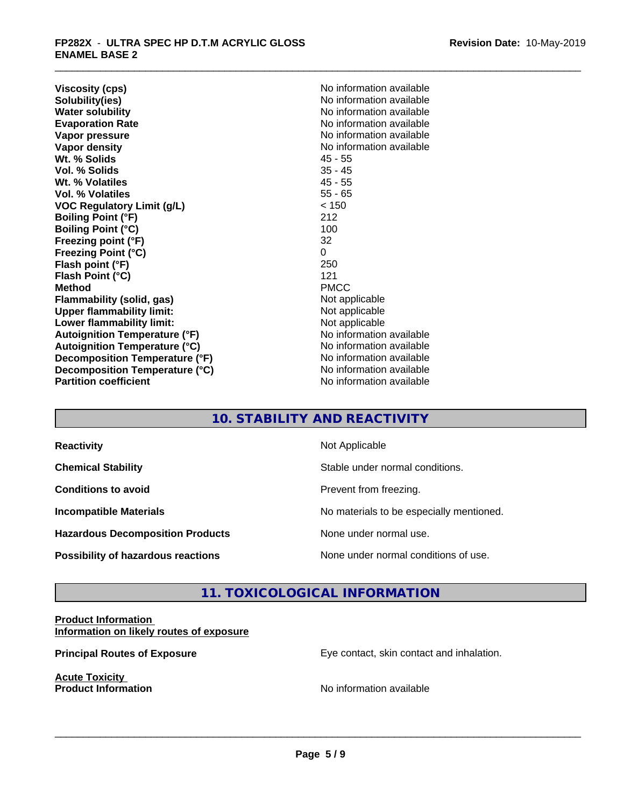**Viscosity (cps)** No information available<br> **Solubility(ies)** No information available **Solubility(ies)**<br> **No information available**<br> **Water solubility**<br> **Water solubility Evaporation Rate No information available No information available Vapor pressure** No information available in the North American Monte available in the North American available **Vapor density Vapor** density **Wt. % Solids** 45 - 55 **Vol. % Solids** 35 - 45 Wt. % Volatiles **Vol. % Volatiles** 55 - 65 **VOC Regulatory Limit (g/L)** < 150 **Boiling Point (°F)** 212 **Boiling Point (°C)** 100<br> **Preezing point (°F)** 32 **Freezing point (°F)** 32 **Freezing Point (°C)** 0 **Flash point (°F)** 250 **Flash Point (°C)** 121 **Method** PMCC **Flammability (solid, gas)**<br> **Upper flammability limit:**<br>
Upper flammability limit:<br>  $\begin{array}{ccc}\n\bullet & \bullet & \bullet \\
\bullet & \bullet & \bullet\n\end{array}$  Not applicable **Upper flammability limit: Lower flammability limit:** Not applicable **Autoignition Temperature (°F)** No information available **Autoignition Temperature (°C)** No information available **Decomposition Temperature (°F)** No information available **Decomposition Temperature (°C)**<br> **Partition coefficient**<br> **Partition coefficient**<br> **No** information available

**No information available No information available** 

# **10. STABILITY AND REACTIVITY**

| <b>Reactivity</b>                         | Not Applicable                           |
|-------------------------------------------|------------------------------------------|
| <b>Chemical Stability</b>                 | Stable under normal conditions.          |
| <b>Conditions to avoid</b>                | Prevent from freezing.                   |
| <b>Incompatible Materials</b>             | No materials to be especially mentioned. |
| <b>Hazardous Decomposition Products</b>   | None under normal use.                   |
| <b>Possibility of hazardous reactions</b> | None under normal conditions of use.     |

# **11. TOXICOLOGICAL INFORMATION**

### **Product Information Information on likely routes of exposure**

**Acute Toxicity** 

**Principal Routes of Exposure Exposure** Eye contact, skin contact and inhalation.

**Product Information Internation International Contract Contract Contract Contract Contract Contract Contract Contract Contract Contract Contract Contract Contract Contract Contract Contract Contract Contract Contract**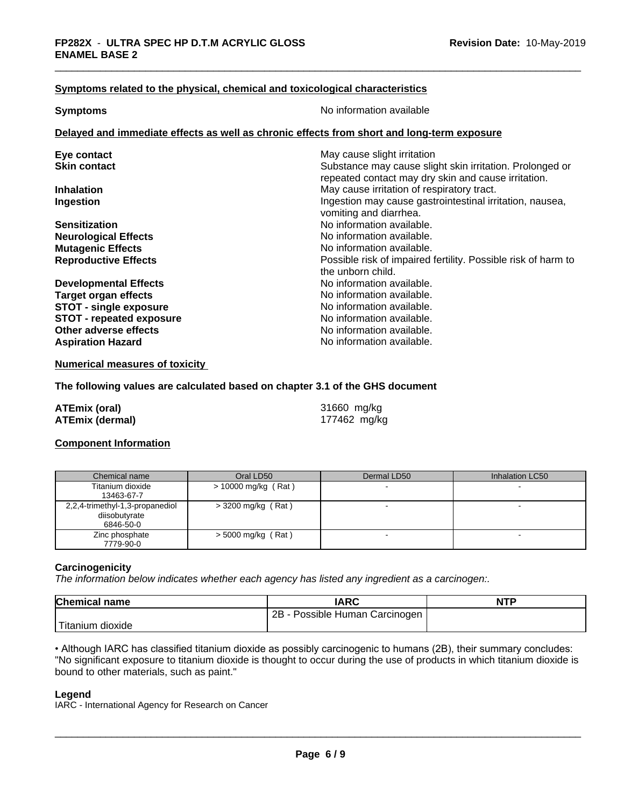#### **Symptoms related to the physical,chemical and toxicological characteristics**

**Symptoms** No information available

#### **Delayed and immediate effects as well as chronic effects from short and long-term exposure**

| Eye contact                     | May cause slight irritation                                   |
|---------------------------------|---------------------------------------------------------------|
| <b>Skin contact</b>             | Substance may cause slight skin irritation. Prolonged or      |
|                                 | repeated contact may dry skin and cause irritation.           |
| <b>Inhalation</b>               | May cause irritation of respiratory tract.                    |
| Ingestion                       | Ingestion may cause gastrointestinal irritation, nausea,      |
|                                 | vomiting and diarrhea.                                        |
| <b>Sensitization</b>            | No information available.                                     |
| <b>Neurological Effects</b>     | No information available.                                     |
| <b>Mutagenic Effects</b>        | No information available.                                     |
| <b>Reproductive Effects</b>     | Possible risk of impaired fertility. Possible risk of harm to |
|                                 | the unborn child.                                             |
| <b>Developmental Effects</b>    | No information available.                                     |
| <b>Target organ effects</b>     | No information available.                                     |
| <b>STOT - single exposure</b>   | No information available.                                     |
| <b>STOT - repeated exposure</b> | No information available.                                     |
| Other adverse effects           | No information available.                                     |
| <b>Aspiration Hazard</b>        | No information available.                                     |
|                                 |                                                               |

**Numerical measures of toxicity**

#### **The following values are calculated based on chapter 3.1 of the GHS document**

| ATEmix (oral)          | 31660 mg/kg  |
|------------------------|--------------|
| <b>ATEmix (dermal)</b> | 177462 mg/kg |

# **Component Information**

| Chemical name                                                 | Oral LD50            | Dermal LD50 | Inhalation LC50 |
|---------------------------------------------------------------|----------------------|-------------|-----------------|
| Titanium dioxide<br>13463-67-7                                | > 10000 mg/kg (Rat)  |             |                 |
| 2,2,4-trimethyl-1,3-propanediol<br>diisobutyrate<br>6846-50-0 | $>$ 3200 mg/kg (Rat) |             |                 |
| Zinc phosphate<br>7779-90-0                                   | $>$ 5000 mg/kg (Rat) |             |                 |

#### **Carcinogenicity**

*The information below indicateswhether each agency has listed any ingredient as a carcinogen:.*

| <b>Chemical name</b>          | <b>IARC</b>                     | <b>NTP</b> |
|-------------------------------|---------------------------------|------------|
|                               | 2B<br>Possible Human Carcinogen |            |
| <sup>I</sup> Titanium dioxide |                                 |            |

• Although IARC has classified titanium dioxide as possibly carcinogenic to humans (2B), their summary concludes: "No significant exposure to titanium dioxide is thought to occur during the use of products in which titanium dioxide is bound to other materials, such as paint."

#### **Legend**

IARC - International Agency for Research on Cancer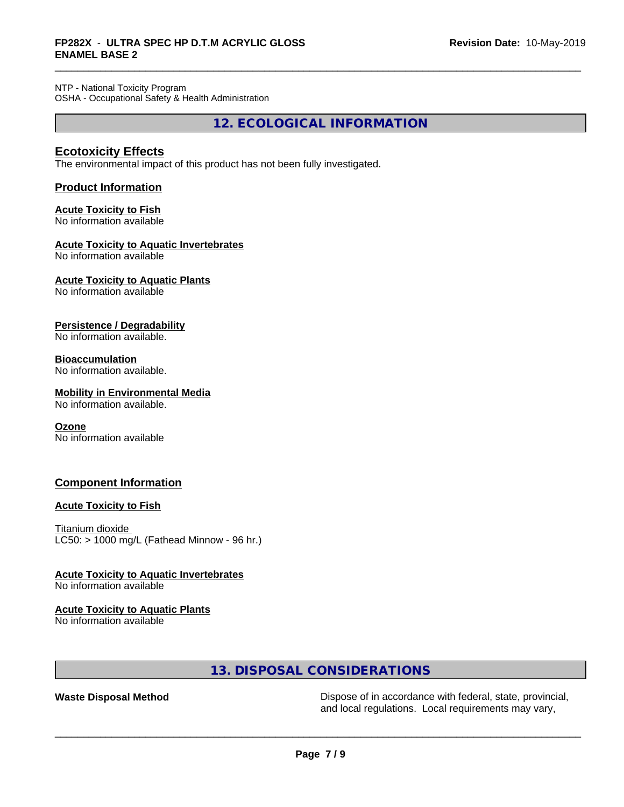NTP - National Toxicity Program OSHA - Occupational Safety & Health Administration

**12. ECOLOGICAL INFORMATION**

# **Ecotoxicity Effects**

The environmental impact of this product has not been fully investigated.

# **Product Information**

# **Acute Toxicity to Fish**

No information available

### **Acute Toxicity to Aquatic Invertebrates**

No information available

# **Acute Toxicity to Aquatic Plants**

No information available

### **Persistence / Degradability**

No information available.

### **Bioaccumulation**

No information available.

# **Mobility in Environmental Media**

No information available.

#### **Ozone**

No information available

# **Component Information**

#### **Acute Toxicity to Fish**

Titanium dioxide  $LC50:$  > 1000 mg/L (Fathead Minnow - 96 hr.)

#### **Acute Toxicity to Aquatic Invertebrates**

No information available

#### **Acute Toxicity to Aquatic Plants**

No information available

# **13. DISPOSAL CONSIDERATIONS**

**Waste Disposal Method** Dispose of in accordance with federal, state, provincial, and local regulations. Local requirements may vary,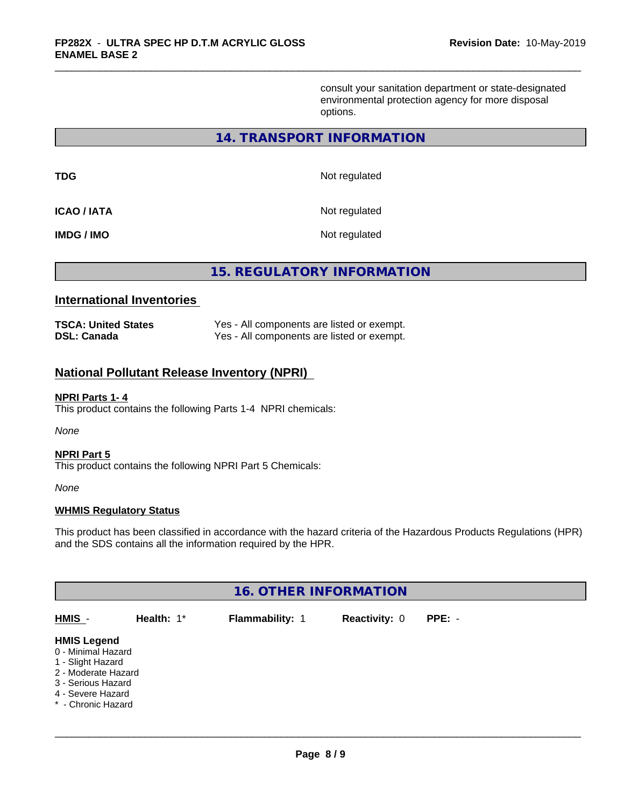consult your sanitation department or state-designated environmental protection agency for more disposal options.

## **14. TRANSPORT INFORMATION**

| <b>TDG</b>        | Not regulated |
|-------------------|---------------|
| <b>ICAO/IATA</b>  | Not regulated |
| <b>IMDG / IMO</b> | Not regulated |

**15. REGULATORY INFORMATION**

# **International Inventories**

| <b>TSCA: United States</b> | Yes - All components are listed or exempt. |
|----------------------------|--------------------------------------------|
| DSL: Canada                | Yes - All components are listed or exempt. |

# **National Pollutant Release Inventory (NPRI)**

#### **NPRI Parts 1- 4**

This product contains the following Parts 1-4 NPRI chemicals:

*None*

#### **NPRI Part 5**

This product contains the following NPRI Part 5 Chemicals:

*None*

#### **WHMIS Regulatory Status**

This product has been classified in accordance with the hazard criteria of the Hazardous Products Regulations (HPR) and the SDS contains all the information required by the HPR.

| <b>16. OTHER INFORMATION</b>                                                                                                                          |            |                 |                      |          |
|-------------------------------------------------------------------------------------------------------------------------------------------------------|------------|-----------------|----------------------|----------|
| HMIS -                                                                                                                                                | Health: 1* | Flammability: 1 | <b>Reactivity: 0</b> | $PPE: -$ |
| <b>HMIS Legend</b><br>0 - Minimal Hazard<br>1 - Slight Hazard<br>2 - Moderate Hazard<br>3 - Serious Hazard<br>4 - Severe Hazard<br>* - Chronic Hazard |            |                 |                      |          |